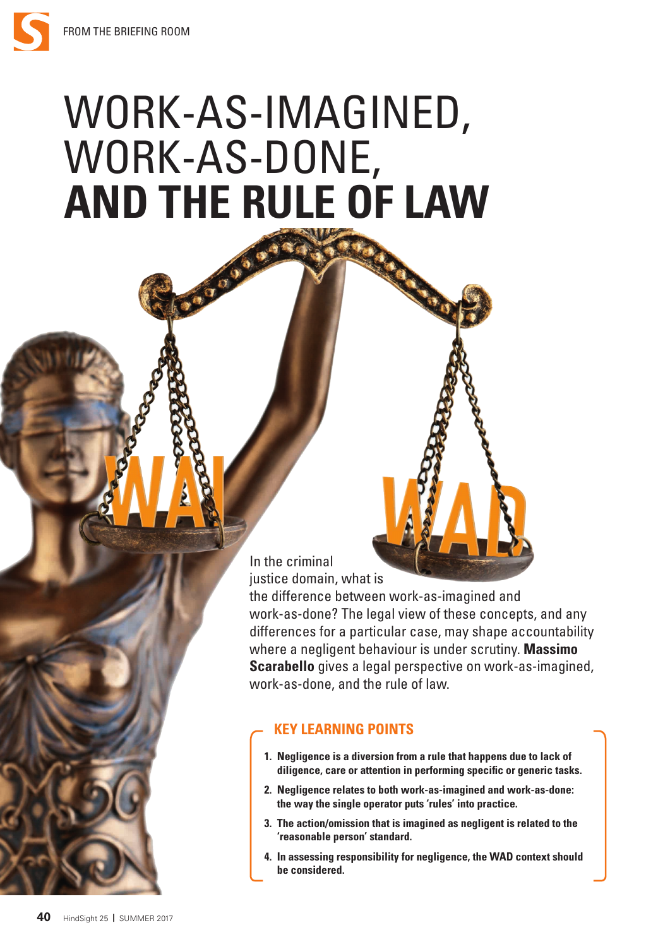## WORK-AS-IMAGINED, WORK-AS-DONE, **AND THE RULE OF LAW**

In the criminal justice domain, what is

the difference between work-as-imagined and work-as-done? The legal view of these concepts, and any differences for a particular case, may shape accountability where a negligent behaviour is under scrutiny. **Massimo Scarabello** gives a legal perspective on work-as-imagined, work-as-done, and the rule of law.

## **KEY LEARNING POINTS**

- **1. Negligence is a diversion from a rule that happens due to lack of diligence, care or attention in performing specific or generic tasks.**
- **2. Negligence relates to both work-as-imagined and work-as-done: the way the single operator puts 'rules' into practice.**
- **3. The action/omission that is imagined as negligent is related to the 'reasonable person' standard.**
- **4. In assessing responsibility for negligence, the WAD context should be considered.**